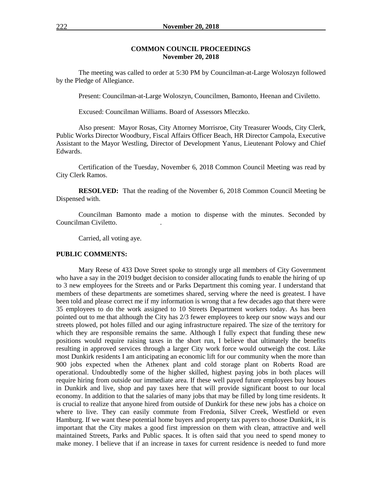#### **COMMON COUNCIL PROCEEDINGS November 20, 2018**

The meeting was called to order at 5:30 PM by Councilman-at-Large Woloszyn followed by the Pledge of Allegiance.

Present: Councilman-at-Large Woloszyn, Councilmen, Bamonto, Heenan and Civiletto.

Excused: Councilman Williams. Board of Assessors Mleczko.

Also present: Mayor Rosas, City Attorney Morrisroe, City Treasurer Woods, City Clerk, Public Works Director Woodbury, Fiscal Affairs Officer Beach, HR Director Campola, Executive Assistant to the Mayor Westling, Director of Development Yanus, Lieutenant Polowy and Chief Edwards.

Certification of the Tuesday, November 6, 2018 Common Council Meeting was read by City Clerk Ramos.

**RESOLVED:** That the reading of the November 6, 2018 Common Council Meeting be Dispensed with.

Councilman Bamonto made a motion to dispense with the minutes. Seconded by Councilman Civiletto. .

Carried, all voting aye.

#### **PUBLIC COMMENTS:**

Mary Reese of 433 Dove Street spoke to strongly urge all members of City Government who have a say in the 2019 budget decision to consider allocating funds to enable the hiring of up to 3 new employees for the Streets and or Parks Department this coming year. I understand that members of these departments are sometimes shared, serving where the need is greatest. I have been told and please correct me if my information is wrong that a few decades ago that there were 35 employees to do the work assigned to 10 Streets Department workers today. As has been pointed out to me that although the City has 2/3 fewer employees to keep our snow ways and our streets plowed, pot holes filled and our aging infrastructure repaired. The size of the territory for which they are responsible remains the same. Although I fully expect that funding these new positions would require raising taxes in the short run, I believe that ultimately the benefits resulting in approved services through a larger City work force would outweigh the cost. Like most Dunkirk residents I am anticipating an economic lift for our community when the more than 900 jobs expected when the Athenex plant and cold storage plant on Roberts Road are operational. Undoubtedly some of the higher skilled, highest paying jobs in both places will require hiring from outside our immediate area. If these well payed future employees buy houses in Dunkirk and live, shop and pay taxes here that will provide significant boost to our local economy. In addition to that the salaries of many jobs that may be filled by long time residents. It is crucial to realize that anyone hired from outside of Dunkirk for these new jobs has a choice on where to live. They can easily commute from Fredonia, Silver Creek, Westfield or even Hamburg. If we want these potential home buyers and property tax payers to choose Dunkirk, it is important that the City makes a good first impression on them with clean, attractive and well maintained Streets, Parks and Public spaces. It is often said that you need to spend money to make money. I believe that if an increase in taxes for current residence is needed to fund more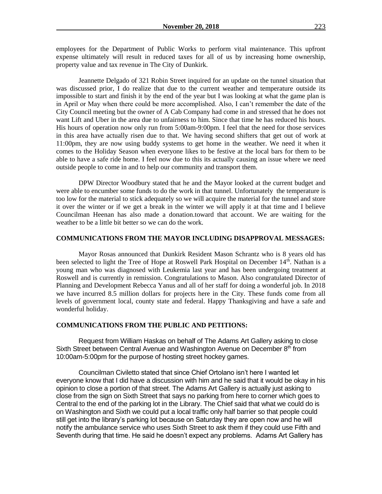employees for the Department of Public Works to perform vital maintenance. This upfront expense ultimately will result in reduced taxes for all of us by increasing home ownership, property value and tax revenue in The City of Dunkirk.

Jeannette Delgado of 321 Robin Street inquired for an update on the tunnel situation that was discussed prior, I do realize that due to the current weather and temperature outside its impossible to start and finish it by the end of the year but I was looking at what the game plan is in April or May when there could be more accomplished. Also, I can't remember the date of the City Council meeting but the owner of A Cab Company had come in and stressed that he does not want Lift and Uber in the area due to unfairness to him. Since that time he has reduced his hours. His hours of operation now only run from 5:00am-9:00pm. I feel that the need for those services in this area have actually risen due to that. We having second shifters that get out of work at 11:00pm, they are now using buddy systems to get home in the weather. We need it when it comes to the Holiday Season when everyone likes to be festive at the local bars for them to be able to have a safe ride home. I feel now due to this its actually causing an issue where we need outside people to come in and to help our community and transport them.

DPW Director Woodbury stated that he and the Mayor looked at the current budget and were able to encumber some funds to do the work in that tunnel. Unfortunately the temperature is too low for the material to stick adequately so we will acquire the material for the tunnel and store it over the winter or if we get a break in the winter we will apply it at that time and I believe Councilman Heenan has also made a donation.toward that account. We are waiting for the weather to be a little bit better so we can do the work.

#### **COMMUNICATIONS FROM THE MAYOR INCLUDING DISAPPROVAL MESSAGES:**

Mayor Rosas announced that Dunkirk Resident Mason Schrantz who is 8 years old has been selected to light the Tree of Hope at Roswell Park Hospital on December 14th. Nathan is a young man who was diagnosed with Leukemia last year and has been undergoing treatment at Roswell and is currently in remission. Congratulations to Mason. Also congratulated Director of Planning and Development Rebecca Yanus and all of her staff for doing a wonderful job. In 2018 we have incurred 8.5 million dollars for projects here in the City. These funds come from all levels of government local, county state and federal. Happy Thanksgiving and have a safe and wonderful holiday.

#### **COMMUNICATIONS FROM THE PUBLIC AND PETITIONS:**

Request from William Haskas on behalf of The Adams Art Gallery asking to close Sixth Street between Central Avenue and Washington Avenue on December 8th from 10:00am-5:00pm for the purpose of hosting street hockey games.

Councilman Civiletto stated that since Chief Ortolano isn't here I wanted let everyone know that I did have a discussion with him and he said that it would be okay in his opinion to close a portion of that street. The Adams Art Gallery is actually just asking to close from the sign on Sixth Street that says no parking from here to corner which goes to Central to the end of the parking lot in the Library. The Chief said that what we could do is on Washington and Sixth we could put a local traffic only half barrier so that people could still get into the library's parking lot because on Saturday they are open now and he will notify the ambulance service who uses Sixth Street to ask them if they could use Fifth and Seventh during that time. He said he doesn't expect any problems. Adams Art Gallery has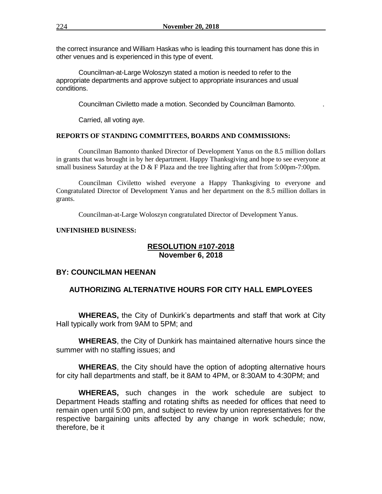the correct insurance and William Haskas who is leading this tournament has done this in other venues and is experienced in this type of event.

Councilman-at-Large Woloszyn stated a motion is needed to refer to the appropriate departments and approve subject to appropriate insurances and usual conditions.

Councilman Civiletto made a motion. Seconded by Councilman Bamonto. .

Carried, all voting aye.

### **REPORTS OF STANDING COMMITTEES, BOARDS AND COMMISSIONS:**

Councilman Bamonto thanked Director of Development Yanus on the 8.5 million dollars in grants that was brought in by her department. Happy Thanksgiving and hope to see everyone at small business Saturday at the D & F Plaza and the tree lighting after that from 5:00pm-7:00pm.

Councilman Civiletto wished everyone a Happy Thanksgiving to everyone and Congratulated Director of Development Yanus and her department on the 8.5 million dollars in grants.

Councilman-at-Large Woloszyn congratulated Director of Development Yanus.

### **UNFINISHED BUSINESS:**

### **RESOLUTION #107-2018 November 6, 2018**

### **BY: COUNCILMAN HEENAN**

# **AUTHORIZING ALTERNATIVE HOURS FOR CITY HALL EMPLOYEES**

**WHEREAS,** the City of Dunkirk's departments and staff that work at City Hall typically work from 9AM to 5PM; and

**WHEREAS**, the City of Dunkirk has maintained alternative hours since the summer with no staffing issues; and

**WHEREAS**, the City should have the option of adopting alternative hours for city hall departments and staff, be it 8AM to 4PM, or 8:30AM to 4:30PM; and

**WHEREAS,** such changes in the work schedule are subject to Department Heads staffing and rotating shifts as needed for offices that need to remain open until 5:00 pm, and subject to review by union representatives for the respective bargaining units affected by any change in work schedule; now, therefore, be it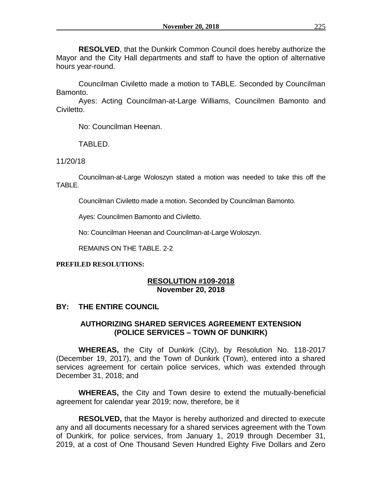**RESOLVED**, that the Dunkirk Common Council does hereby authorize the Mayor and the City Hall departments and staff to have the option of alternative hours year-round.

Councilman Civiletto made a motion to TABLE. Seconded by Councilman Bamonto.

Ayes: Acting Councilman-at-Large Williams, Councilmen Bamonto and Civiletto.

No: Councilman Heenan.

TABLED.

11/20/18

Councilman-at-Large Woloszyn stated a motion was needed to take this off the TABLE.

Councilman Civiletto made a motion. Seconded by Councilman Bamonto.

Ayes: Councilmen Bamonto and Civiletto.

No: Councilman Heenan and Councilman-at-Large Woloszyn.

REMAINS ON THE TABLE. 2-2

## **PREFILED RESOLUTIONS:**

# **RESOLUTION #109-2018 November 20, 2018**

# **BY: THE ENTIRE COUNCIL**

# **AUTHORIZING SHARED SERVICES AGREEMENT EXTENSION (POLICE SERVICES – TOWN OF DUNKIRK)**

**WHEREAS,** the City of Dunkirk (City), by Resolution No. 118-2017 (December 19, 2017), and the Town of Dunkirk (Town), entered into a shared services agreement for certain police services, which was extended through December 31, 2018; and

**WHEREAS,** the City and Town desire to extend the mutually-beneficial agreement for calendar year 2019; now, therefore, be it

**RESOLVED,** that the Mayor is hereby authorized and directed to execute any and all documents necessary for a shared services agreement with the Town of Dunkirk, for police services, from January 1, 2019 through December 31, 2019, at a cost of One Thousand Seven Hundred Eighty Five Dollars and Zero